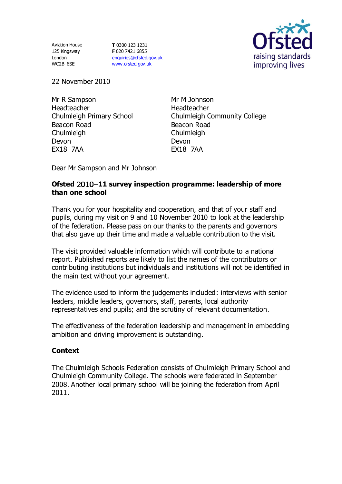Aviation House 125 Kingsway London WC2B 6SE

**T** 0300 123 1231 **F** 020 7421 6855 [enquiries@ofsted.gov.uk](mailto:enquiries@ofsted.gov.uk) [www.ofsted.gov.uk](http://www.ofsted.gov.uk/)



22 November 2010

Mr R Sampson Headteacher Chulmleigh Primary School Beacon Road Chulmleigh Devon EX18 7AA

Mr M Johnson Headteacher Chulmleigh Community College Beacon Road **Chulmleigh** Devon EX18 7AA

Dear Mr Sampson and Mr Johnson

### Ofsted 2010-11 survey inspection programme: leadership of more **than one school**

 Thank you for your hospitality and cooperation, and that of your staff and pupils, during my visit on 9 and 10 November 2010 to look at the leadership of the federation. Please pass on our thanks to the parents and governors that also gave up their time and made a valuable contribution to the visit.

The visit provided valuable information which will contribute to a national report. Published reports are likely to list the names of the contributors or contributing institutions but individuals and institutions will not be identified in the main text without your agreement.

The evidence used to inform the judgements included: interviews with senior leaders, middle leaders, governors, staff, parents, local authority representatives and pupils; and the scrutiny of relevant documentation.

The effectiveness of the federation leadership and management in embedding ambition and driving improvement is outstanding.

## **Context**

The Chulmleigh Schools Federation consists of Chulmleigh Primary School and Chulmleigh Community College. The schools were federated in September 2008. Another local primary school will be joining the federation from April 2011.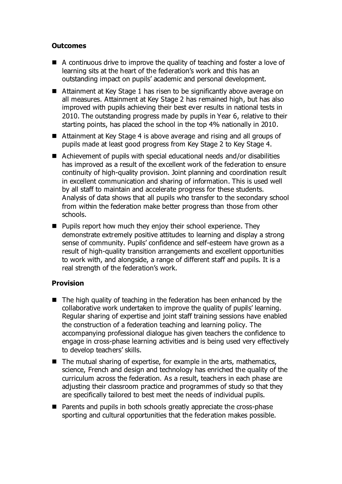# **Outcomes**

- A continuous drive to improve the quality of teaching and foster a love of learning sits at the heart of the federation's work and this has an outstanding impact on pupils' academic and personal development.
- Attainment at Key Stage 1 has risen to be significantly above average on all measures. Attainment at Key Stage 2 has remained high, but has also improved with pupils achieving their best ever results in national tests in 2010. The outstanding progress made by pupils in Year 6, relative to their starting points, has placed the school in the top 4% nationally in 2010.
- Attainment at Key Stage 4 is above average and rising and all groups of pupils made at least good progress from Key Stage 2 to Key Stage 4.
- Achievement of pupils with special educational needs and/or disabilities has improved as a result of the excellent work of the federation to ensure continuity of high-quality provision. Joint planning and coordination result in excellent communication and sharing of information. This is used well by all staff to maintain and accelerate progress for these students. Analysis of data shows that all pupils who transfer to the secondary school from within the federation make better progress than those from other schools.
- **Pupils report how much they enjoy their school experience. They** demonstrate extremely positive attitudes to learning and display a strong sense of community. Pupils' confidence and self-esteem have grown as a result of high-quality transition arrangements and excellent opportunities to work with, and alongside, a range of different staff and pupils. It is a real strength of the federation's work.

# **Provision**

- $\blacksquare$  The high quality of teaching in the federation has been enhanced by the collaborative work undertaken to improve the quality of pupils' learning. Regular sharing of expertise and joint staff training sessions have enabled the construction of a federation teaching and learning policy. The accompanying professional dialogue has given teachers the confidence to engage in cross-phase learning activities and is being used very effectively to develop teachers' skills.
- $\blacksquare$  The mutual sharing of expertise, for example in the arts, mathematics, science, French and design and technology has enriched the quality of the curriculum across the federation. As a result, teachers in each phase are adjusting their classroom practice and programmes of study so that they are specifically tailored to best meet the needs of individual pupils.
- Parents and pupils in both schools greatly appreciate the cross-phase sporting and cultural opportunities that the federation makes possible.